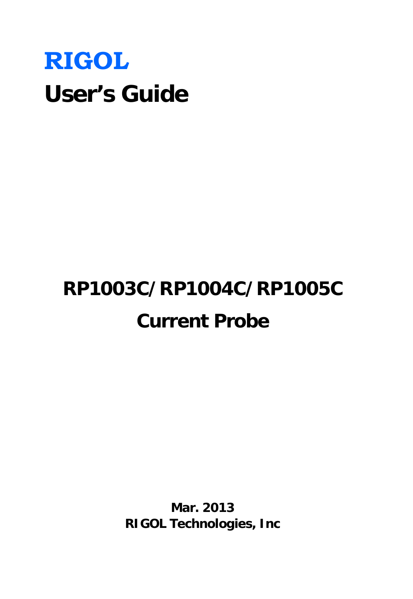# **RIGOL User's Guide**

# **RP1003C/RP1004C/RP1005C Current Probe**

**Mar. 2013 RIGOL Technologies, Inc**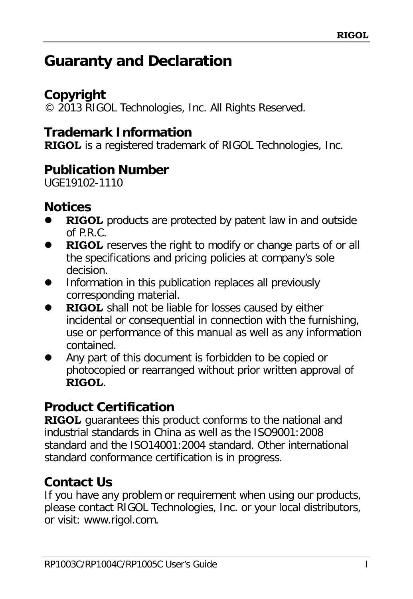# <span id="page-2-0"></span>**Guaranty and Declaration**

# **Copyright**

© 2013 RIGOL Technologies, Inc. All Rights Reserved.

## **Trademark Information**

**RIGOL** is a registered trademark of RIGOL Technologies, Inc.

## **Publication Number**

UGE19102-1110

## **Notices**

- **RIGOL** products are protected by patent law in and outside of P.R.C.
- **RIGOL** reserves the right to modify or change parts of or all the specifications and pricing policies at company's sole decision.
- Information in this publication replaces all previously corresponding material.
- **RIGOL** shall not be liable for losses caused by either incidental or consequential in connection with the furnishing, use or performance of this manual as well as any information contained.
- Any part of this document is forbidden to be copied or photocopied or rearranged without prior written approval of **RIGOL**.

# **Product Certification**

**RIGOL** guarantees this product conforms to the national and industrial standards in China as well as the ISO9001:2008 standard and the ISO14001:2004 standard. Other international standard conformance certification is in progress.

# **Contact Us**

If you have any problem or requirement when using our products, please contact RIGOL Technologies, Inc. or your local distributors, or visit: [www.rigol.com.](http://www.rigol.com/)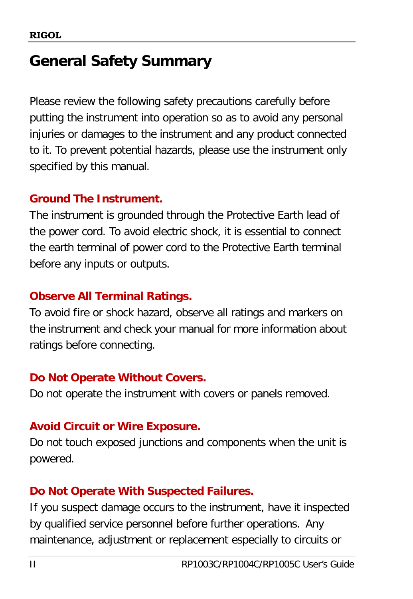# <span id="page-3-0"></span>**General Safety Summary**

Please review the following safety precautions carefully before putting the instrument into operation so as to avoid any personal injuries or damages to the instrument and any product connected to it. To prevent potential hazards, please use the instrument only specified by this manual.

#### **Ground The Instrument.**

The instrument is grounded through the Protective Earth lead of the power cord. To avoid electric shock, it is essential to connect the earth terminal of power cord to the Protective Earth terminal before any inputs or outputs.

#### **Observe All Terminal Ratings.**

To avoid fire or shock hazard, observe all ratings and markers on the instrument and check your manual for more information about ratings before connecting.

#### **Do Not Operate Without Covers.**

Do not operate the instrument with covers or panels removed.

#### **Avoid Circuit or Wire Exposure.**

Do not touch exposed junctions and components when the unit is powered.

#### **Do Not Operate With Suspected Failures.**

If you suspect damage occurs to the instrument, have it inspected by qualified service personnel before further operations. Any maintenance, adjustment or replacement especially to circuits or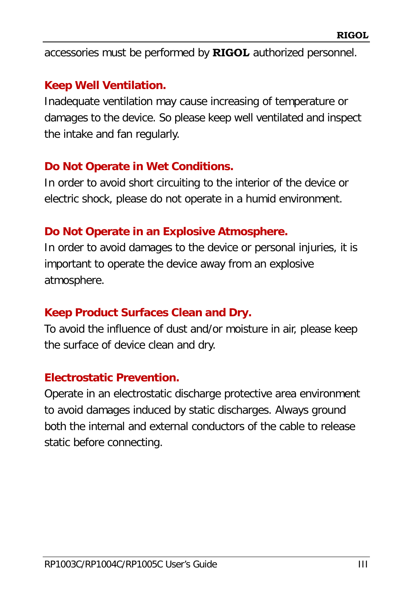accessories must be performed by **RIGOL** authorized personnel.

#### **Keep Well Ventilation.**

Inadequate ventilation may cause increasing of temperature or damages to the device. So please keep well ventilated and inspect the intake and fan regularly.

#### **Do Not Operate in Wet Conditions.**

In order to avoid short circuiting to the interior of the device or electric shock, please do not operate in a humid environment.

#### **Do Not Operate in an Explosive Atmosphere.**

In order to avoid damages to the device or personal injuries, it is important to operate the device away from an explosive atmosphere.

#### **Keep Product Surfaces Clean and Dry.**

To avoid the influence of dust and/or moisture in air, please keep the surface of device clean and dry.

#### **Electrostatic Prevention.**

Operate in an electrostatic discharge protective area environment to avoid damages induced by static discharges. Always ground both the internal and external conductors of the cable to release static before connecting.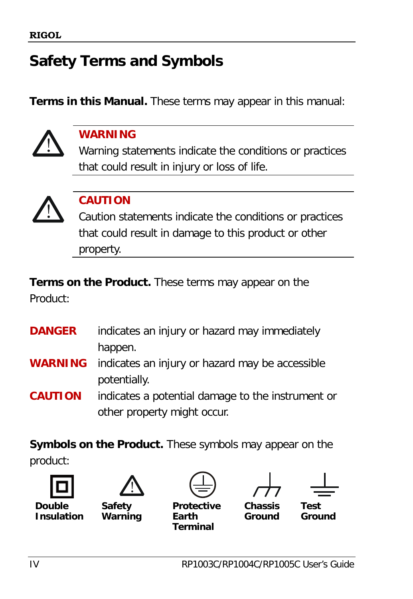# <span id="page-5-0"></span>**Safety Terms and Symbols**

**Terms in this Manual.** These terms may appear in this manual:



#### **WARNING**

Warning statements indicate the conditions or practices that could result in injury or loss of life.



#### **CAUTION**

Caution statements indicate the conditions or practices that could result in damage to this product or other property.

**Terms on the Product.** These terms may appear on the Product:

| <b>DANGER</b>  | indicates an injury or hazard may immediately                  |
|----------------|----------------------------------------------------------------|
|                | happen.                                                        |
|                | <b>WARNING</b> indicates an injury or hazard may be accessible |
|                | potentially.                                                   |
| <b>CAUTION</b> | indicates a potential damage to the instrument or              |
|                | other property might occur.                                    |

**Symbols on the Product.** These symbols may appear on the product:





**Safety Warning**

**Protective Earth**

**Terminal**



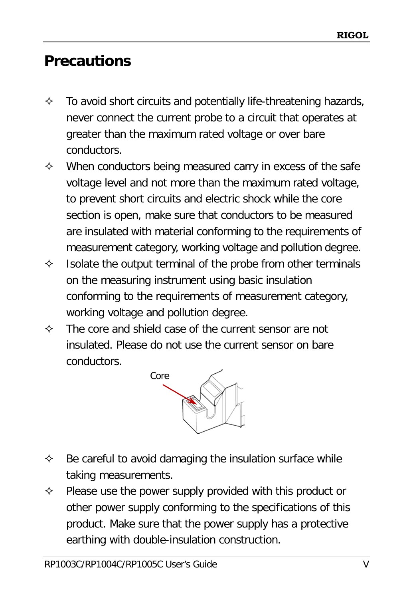# <span id="page-6-0"></span>**Precautions**

- $\Diamond$  To avoid short circuits and potentially life-threatening hazards, never connect the current probe to a circuit that operates at greater than the maximum rated voltage or over bare conductors.
- $\Diamond$  When conductors being measured carry in excess of the safe voltage level and not more than the maximum rated voltage, to prevent short circuits and electric shock while the core section is open, make sure that conductors to be measured are insulated with material conforming to the requirements of measurement category, working voltage and pollution degree.
- $\Diamond$  Isolate the output terminal of the probe from other terminals on the measuring instrument using basic insulation conforming to the requirements of measurement category, working voltage and pollution degree.
- $\Diamond$  The core and shield case of the current sensor are not insulated. Please do not use the current sensor on bare conductors.



- $\Diamond$  Be careful to avoid damaging the insulation surface while taking measurements.
- $\Diamond$  Please use the power supply provided with this product or other power supply conforming to the specifications of this product. Make sure that the power supply has a protective earthing with double-insulation construction.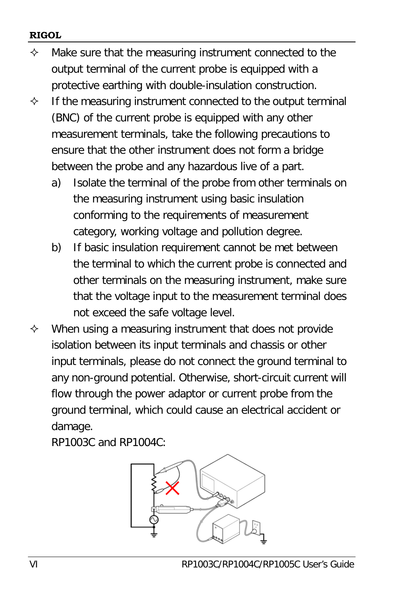#### **RIGOL**

- $\Diamond$  Make sure that the measuring instrument connected to the output terminal of the current probe is equipped with a protective earthing with double-insulation construction.
- $\Diamond$  If the measuring instrument connected to the output terminal (BNC) of the current probe is equipped with any other measurement terminals, take the following precautions to ensure that the other instrument does not form a bridge between the probe and any hazardous live of a part.
	- a) Isolate the terminal of the probe from other terminals on the measuring instrument using basic insulation conforming to the requirements of measurement category, working voltage and pollution degree.
	- b) If basic insulation requirement cannot be met between the terminal to which the current probe is connected and other terminals on the measuring instrument, make sure that the voltage input to the measurement terminal does not exceed the safe voltage level.
- $\Diamond$  When using a measuring instrument that does not provide isolation between its input terminals and chassis or other input terminals, please do not connect the ground terminal to any non-ground potential. Otherwise, short-circuit current will flow through the power adaptor or current probe from the ground terminal, which could cause an electrical accident or damage.

RP1003C and RP1004C:

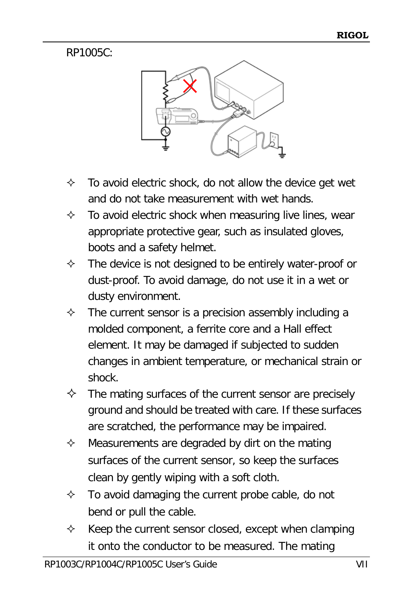#### RP1005C:



- $\div$  To avoid electric shock, do not allow the device get wet and do not take measurement with wet hands.
- $\Diamond$  To avoid electric shock when measuring live lines, wear appropriate protective gear, such as insulated gloves, boots and a safety helmet.
- $\Diamond$  The device is not designed to be entirely water-proof or dust-proof. To avoid damage, do not use it in a wet or dusty environment.
- $\Diamond$  The current sensor is a precision assembly including a molded component, a ferrite core and a Hall effect element. It may be damaged if subjected to sudden changes in ambient temperature, or mechanical strain or shock.
- $\Diamond$  The mating surfaces of the current sensor are precisely ground and should be treated with care. If these surfaces are scratched, the performance may be impaired.
- $\Diamond$  Measurements are degraded by dirt on the mating surfaces of the current sensor, so keep the surfaces clean by gently wiping with a soft cloth.
- $\Diamond$  To avoid damaging the current probe cable, do not bend or pull the cable.
- $\Diamond$  Keep the current sensor closed, except when clamping it onto the conductor to be measured. The mating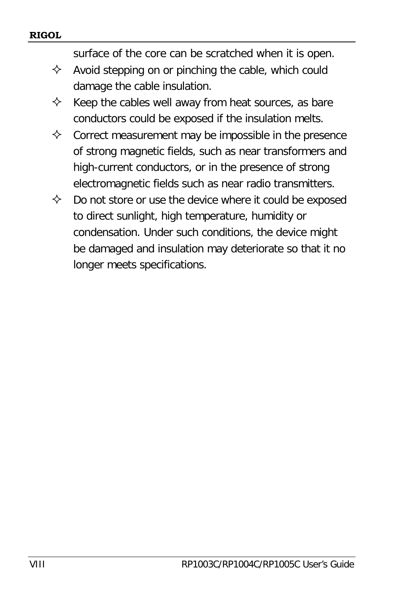surface of the core can be scratched when it is open.

- $\Diamond$  Avoid stepping on or pinching the cable, which could damage the cable insulation.
- $\Diamond$  Keep the cables well away from heat sources, as bare conductors could be exposed if the insulation melts.
- $\Diamond$  Correct measurement may be impossible in the presence of strong magnetic fields, such as near transformers and high-current conductors, or in the presence of strong electromagnetic fields such as near radio transmitters.
- $\Diamond$  Do not store or use the device where it could be exposed to direct sunlight, high temperature, humidity or condensation. Under such conditions, the device might be damaged and insulation may deteriorate so that it no longer meets specifications.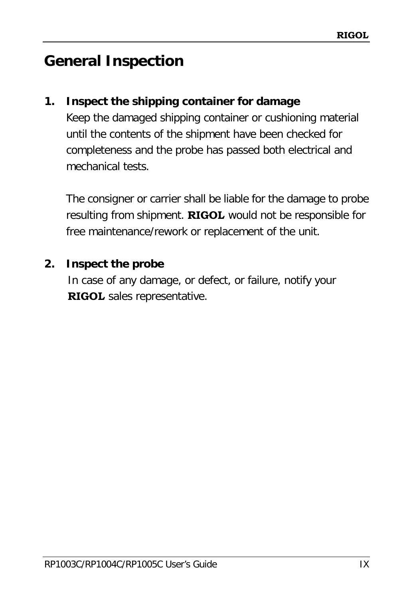# <span id="page-10-0"></span>**General Inspection**

#### **1. Inspect the shipping container for damage**

Keep the damaged shipping container or cushioning material until the contents of the shipment have been checked for completeness and the probe has passed both electrical and mechanical tests.

The consigner or carrier shall be liable for the damage to probe resulting from shipment. **RIGOL** would not be responsible for free maintenance/rework or replacement of the unit.

#### **2. Inspect the probe**

In case of any damage, or defect, or failure, notify your **RIGOL** sales representative.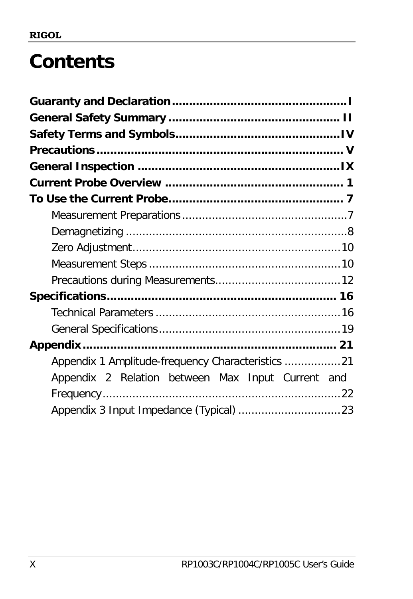# **Contents**

| Appendix 1 Amplitude-frequency Characteristics 21 |  |
|---------------------------------------------------|--|
| Appendix 2 Relation between Max Input Current and |  |
|                                                   |  |
|                                                   |  |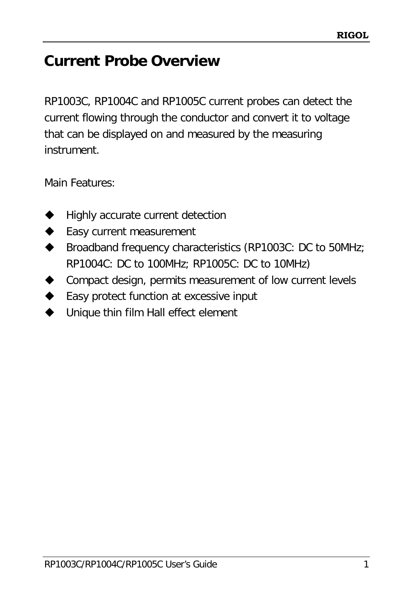# <span id="page-12-0"></span>**Current Probe Overview**

RP1003C, RP1004C and RP1005C current probes can detect the current flowing through the conductor and convert it to voltage that can be displayed on and measured by the measuring instrument.

Main Features:

- Highly accurate current detection
- Easy current measurement
- ◆ Broadband frequency characteristics (RP1003C: DC to 50MHz; RP1004C: DC to 100MHz; RP1005C: DC to 10MHz)
- Compact design, permits measurement of low current levels
- ◆ Easy protect function at excessive input
- ◆ Unique thin film Hall effect element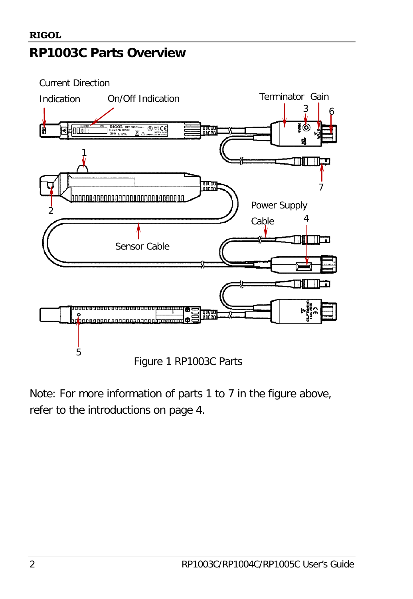Current Direction



Note: For more information of parts 1 to 7 in the figure above, refer to the introductions on page [4.](#page-15-0)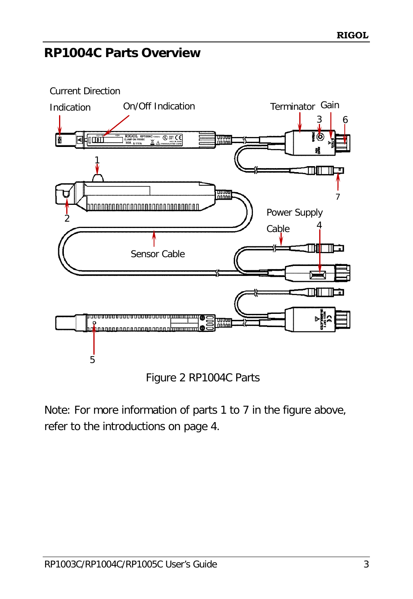# **RP1004C Parts Overview**



Figure 2 RP1004C Parts

Note: For more information of parts 1 to 7 in the figure above, refer to the introductions on page [4.](#page-15-0)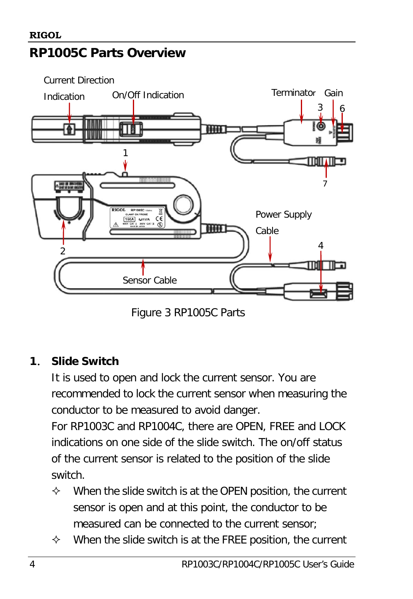#### **RIGOL**

# **RP1005C Parts Overview**



Figure 3 RP1005C Parts

#### <span id="page-15-0"></span>**1**. **Slide Switch**

It is used to open and lock the current sensor. You are recommended to lock the current sensor when measuring the conductor to be measured to avoid danger.

For RP1003C and RP1004C, there are OPEN, FREE and LOCK indications on one side of the slide switch. The on/off status of the current sensor is related to the position of the slide switch.

- $\Diamond$  When the slide switch is at the OPEN position, the current sensor is open and at this point, the conductor to be measured can be connected to the current sensor;
- $\Diamond$  When the slide switch is at the FREE position, the current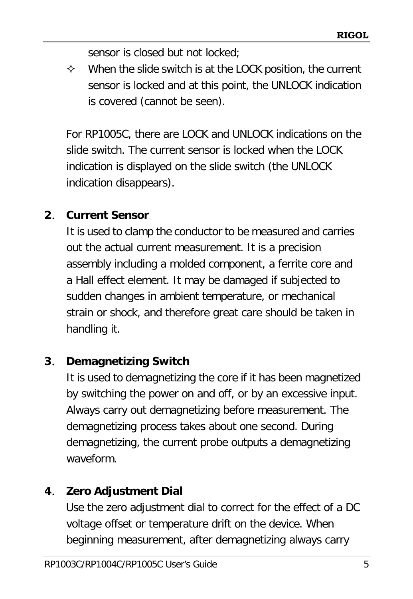sensor is closed but not locked;

 $\Diamond$  When the slide switch is at the LOCK position, the current sensor is locked and at this point, the UNLOCK indication is covered (cannot be seen).

For RP1005C, there are LOCK and UNLOCK indications on the slide switch. The current sensor is locked when the LOCK indication is displayed on the slide switch (the UNLOCK indication disappears).

## **2**. **Current Sensor**

It is used to clamp the conductor to be measured and carries out the actual current measurement. It is a precision assembly including a molded component, a ferrite core and a Hall effect element. It may be damaged if subjected to sudden changes in ambient temperature, or mechanical strain or shock, and therefore great care should be taken in handling it.

## **3**. **Demagnetizing Switch**

It is used to demagnetizing the core if it has been magnetized by switching the power on and off, or by an excessive input. Always carry out demagnetizing before measurement. The demagnetizing process takes about one second. During demagnetizing, the current probe outputs a demagnetizing waveform.

# **4**. **Zero Adjustment Dial**

Use the zero adjustment dial to correct for the effect of a DC voltage offset or temperature drift on the device. When beginning measurement, after demagnetizing always carry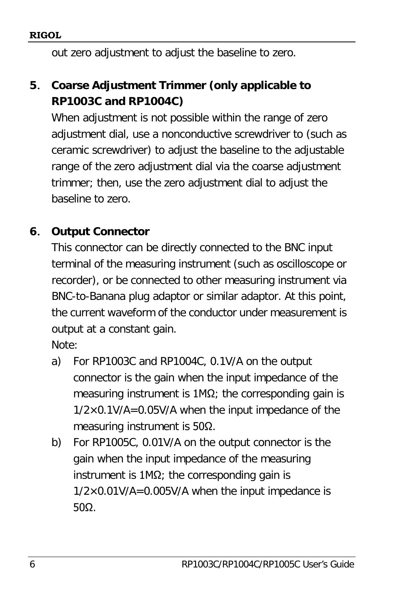**RIGOL**

out zero adjustment to adjust the baseline to zero.

# **5**. **Coarse Adjustment Trimmer (only applicable to RP1003C and RP1004C)**

When adjustment is not possible within the range of zero adjustment dial, use a nonconductive screwdriver to (such as ceramic screwdriver) to adjust the baseline to the adjustable range of the zero adjustment dial via the coarse adjustment trimmer; then, use the zero adjustment dial to adjust the baseline to zero.

## **6**. **Output Connector**

This connector can be directly connected to the BNC input terminal of the measuring instrument (such as oscilloscope or recorder), or be connected to other measuring instrument via BNC-to-Banana plug adaptor or similar adaptor. At this point, the current waveform of the conductor under measurement is output at a constant gain.

Note:

- a) For RP1003C and RP1004C, 0.1V/A on the output connector is the gain when the input impedance of the measuring instrument is  $1MΩ$ ; the corresponding gain is  $1/2\times0.1$ V/A=0.05V/A when the input impedance of the measuring instrument is 50Ω.
- b) For RP1005C, 0.01V/A on the output connector is the gain when the input impedance of the measuring instrument is  $1MΩ$ ; the corresponding gain is  $1/2\times0.01$ V/A=0.005V/A when the input impedance is 50Ω.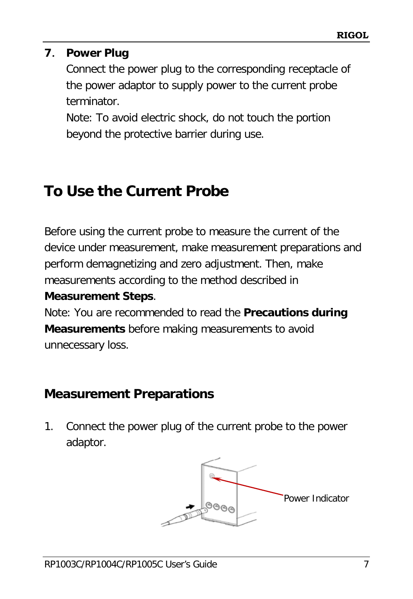#### **7**. **Power Plug**

Connect the power plug to the corresponding receptacle of the power adaptor to supply power to the current probe terminator.

Note: To avoid electric shock, do not touch the portion beyond the protective barrier during use.

# <span id="page-18-0"></span>**To Use the Current Probe**

Before using the current probe to measure the current of the device under measurement, make measurement preparations and perform demagnetizing and zero adjustment. Then, make measurements according to the method described in

#### **[Measurement Steps](#page-21-1)**.

Note: You are recommended to read the **[Precautions during](#page-23-0)  [Measurements](#page-23-0)** before making measurements to avoid unnecessary loss.

# <span id="page-18-1"></span>**Measurement Preparations**

1. Connect the power plug of the current probe to the power adaptor.

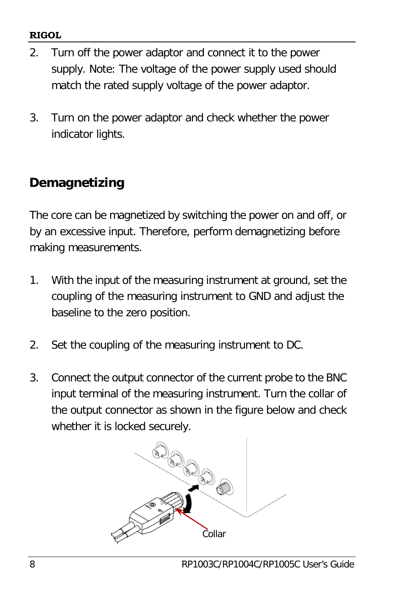#### **RIGOL**

- 2. Turn off the power adaptor and connect it to the power supply. Note: The voltage of the power supply used should match the rated supply voltage of the power adaptor.
- 3. Turn on the power adaptor and check whether the power indicator lights.

# <span id="page-19-0"></span>**Demagnetizing**

The core can be magnetized by switching the power on and off, or by an excessive input. Therefore, perform demagnetizing before making measurements.

- 1. With the input of the measuring instrument at ground, set the coupling of the measuring instrument to GND and adjust the baseline to the zero position.
- 2. Set the coupling of the measuring instrument to DC.
- 3. Connect the output connector of the current probe to the BNC input terminal of the measuring instrument. Turn the collar of the output connector as shown in the figure below and check whether it is locked securely.

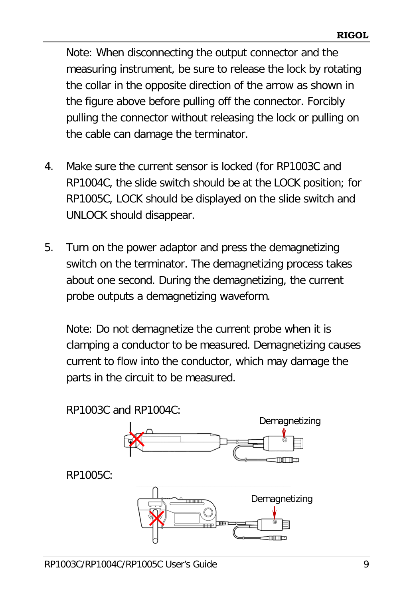Note: When disconnecting the output connector and the measuring instrument, be sure to release the lock by rotating the collar in the opposite direction of the arrow as shown in the figure above before pulling off the connector. Forcibly pulling the connector without releasing the lock or pulling on the cable can damage the terminator.

- 4. Make sure the current sensor is locked (for RP1003C and RP1004C, the slide switch should be at the LOCK position; for RP1005C, LOCK should be displayed on the slide switch and UNLOCK should disappear.
- 5. Turn on the power adaptor and press the demagnetizing switch on the terminator. The demagnetizing process takes about one second. During the demagnetizing, the current probe outputs a demagnetizing waveform.

Note: Do not demagnetize the current probe when it is clamping a conductor to be measured. Demagnetizing causes current to flow into the conductor, which may damage the parts in the circuit to be measured.

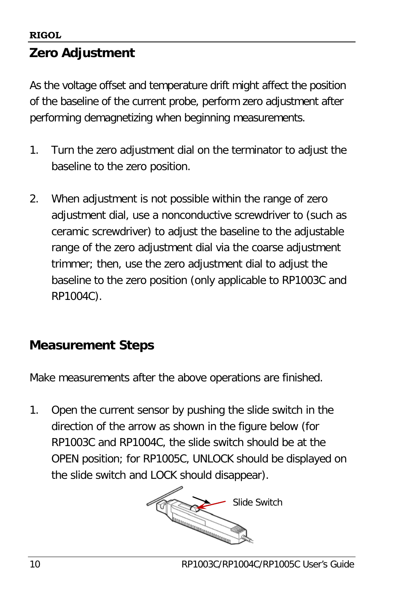# <span id="page-21-0"></span>**Zero Adjustment**

As the voltage offset and temperature drift might affect the position of the baseline of the current probe, perform zero adjustment after performing demagnetizing when beginning measurements.

- 1. Turn the zero adjustment dial on the terminator to adjust the baseline to the zero position.
- 2. When adjustment is not possible within the range of zero adjustment dial, use a nonconductive screwdriver to (such as ceramic screwdriver) to adjust the baseline to the adjustable range of the zero adjustment dial via the coarse adjustment trimmer; then, use the zero adjustment dial to adjust the baseline to the zero position (only applicable to RP1003C and RP1004C).

# <span id="page-21-1"></span>**Measurement Steps**

Make measurements after the above operations are finished.

1. Open the current sensor by pushing the slide switch in the direction of the arrow as shown in the figure below (for RP1003C and RP1004C, the slide switch should be at the OPEN position; for RP1005C, UNLOCK should be displayed on the slide switch and LOCK should disappear).

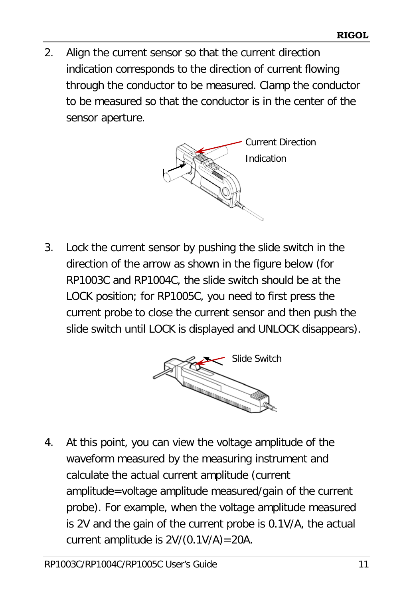2. Align the current sensor so that the current direction indication corresponds to the direction of current flowing through the conductor to be measured. Clamp the conductor to be measured so that the conductor is in the center of the sensor aperture.



3. Lock the current sensor by pushing the slide switch in the direction of the arrow as shown in the figure below (for RP1003C and RP1004C, the slide switch should be at the LOCK position; for RP1005C, you need to first press the current probe to close the current sensor and then push the slide switch until LOCK is displayed and UNLOCK disappears).



4. At this point, you can view the voltage amplitude of the waveform measured by the measuring instrument and calculate the actual current amplitude (current amplitude=voltage amplitude measured/gain of the current probe). For example, when the voltage amplitude measured is 2V and the gain of the current probe is 0.1V/A, the actual current amplitude is 2V/(0.1V/A)=20A.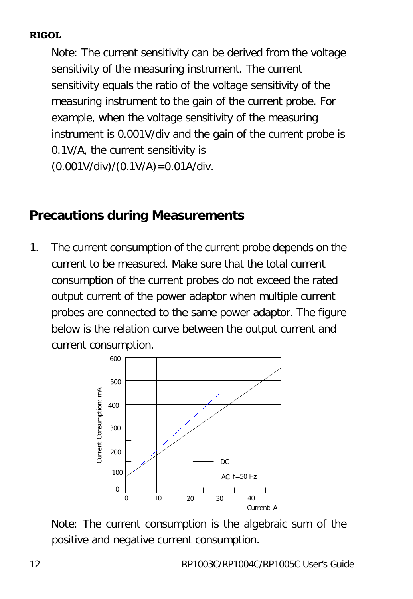Note: The current sensitivity can be derived from the voltage sensitivity of the measuring instrument. The current sensitivity equals the ratio of the voltage sensitivity of the measuring instrument to the gain of the current probe. For example, when the voltage sensitivity of the measuring instrument is 0.001V/div and the gain of the current probe is 0.1V/A, the current sensitivity is (0.001V/div)/(0.1V/A)=0.01A/div.

## <span id="page-23-0"></span>**Precautions during Measurements**

1. The current consumption of the current probe depends on the current to be measured. Make sure that the total current consumption of the current probes do not exceed the rated output current of the power adaptor when multiple current probes are connected to the same power adaptor. The figure below is the relation curve between the output current and current consumption.



Note: The current consumption is the algebraic sum of the positive and negative current consumption.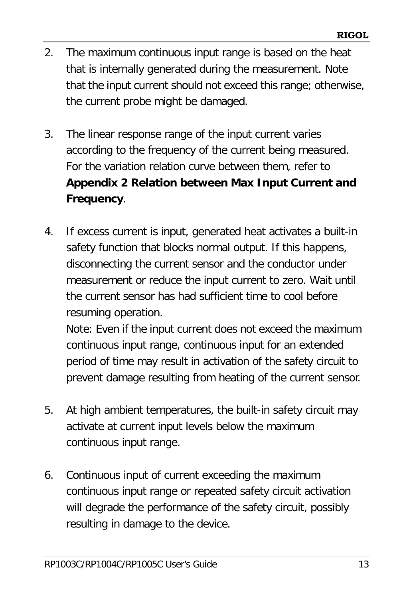- 2. The maximum continuous input range is based on the heat that is internally generated during the measurement. Note that the input current should not exceed this range; otherwise, the current probe might be damaged.
- 3. The linear response range of the input current varies according to the frequency of the current being measured. For the variation relation curve between them, refer to **[Appendix 2 Relation between Max Input Current and](#page-33-0)  [Frequency](#page-33-0)**.
- 4. If excess current is input, generated heat activates a built-in safety function that blocks normal output. If this happens, disconnecting the current sensor and the conductor under measurement or reduce the input current to zero. Wait until the current sensor has had sufficient time to cool before resuming operation.

Note: Even if the input current does not exceed the maximum continuous input range, continuous input for an extended period of time may result in activation of the safety circuit to prevent damage resulting from heating of the current sensor.

- 5. At high ambient temperatures, the built-in safety circuit may activate at current input levels below the maximum continuous input range.
- 6. Continuous input of current exceeding the maximum continuous input range or repeated safety circuit activation will degrade the performance of the safety circuit, possibly resulting in damage to the device.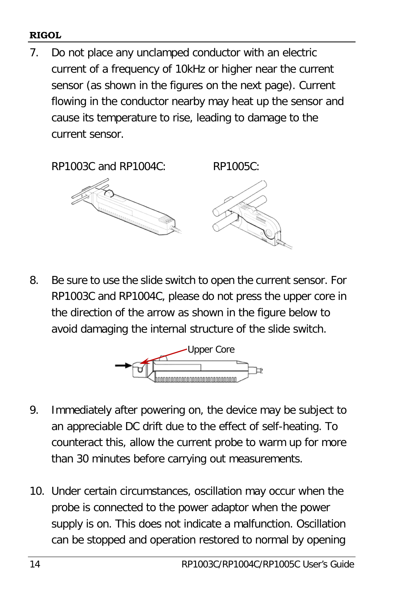#### **RIGOL**

7. Do not place any unclamped conductor with an electric current of a frequency of 10kHz or higher near the current sensor (as shown in the figures on the next page). Current flowing in the conductor nearby may heat up the sensor and cause its temperature to rise, leading to damage to the current sensor.

RP1003C and RP1004C: RP1005C:



8. Be sure to use the slide switch to open the current sensor. For RP1003C and RP1004C, please do not press the upper core in the direction of the arrow as shown in the figure below to avoid damaging the internal structure of the slide switch.



- 9. Immediately after powering on, the device may be subject to an appreciable DC drift due to the effect of self-heating. To counteract this, allow the current probe to warm up for more than 30 minutes before carrying out measurements.
- 10. Under certain circumstances, oscillation may occur when the probe is connected to the power adaptor when the power supply is on. This does not indicate a malfunction. Oscillation can be stopped and operation restored to normal by opening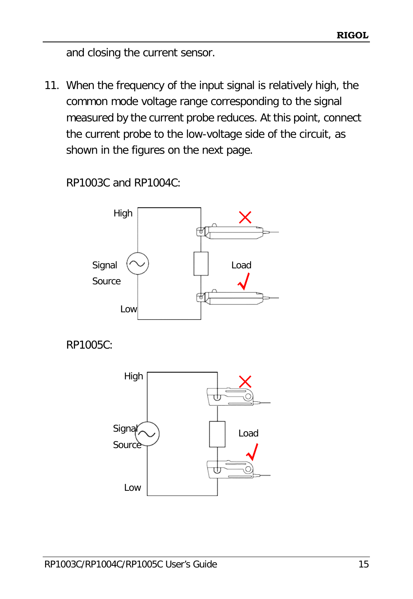and closing the current sensor.

11. When the frequency of the input signal is relatively high, the common mode voltage range corresponding to the signal measured by the current probe reduces. At this point, connect the current probe to the low-voltage side of the circuit, as shown in the figures on the next page.

RP1003C and RP1004C:



√

Low

Source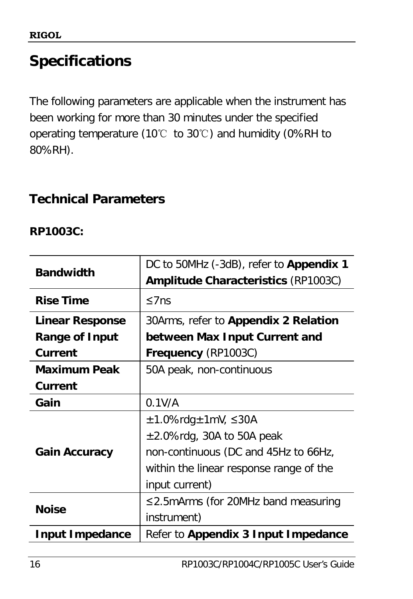# <span id="page-27-0"></span>**Specifications**

The following parameters are applicable when the instrument has been working for more than 30 minutes under the specified operating temperature (10℃ to 30℃) and humidity (0%RH to 80%RH).

# <span id="page-27-1"></span>**Technical Parameters**

#### **RP1003C:**

| <b>Bandwidth</b>       | DC to 50MHz (-3dB), refer to Appendix 1     |  |
|------------------------|---------------------------------------------|--|
|                        | <b>Amplitude Characteristics (RP1003C)</b>  |  |
| <b>Rise Time</b>       | $\leq$ 7ns                                  |  |
| <b>Linear Response</b> | 30Arms, refer to <b>Appendix 2 Relation</b> |  |
| <b>Range of Input</b>  | between Max Input Current and               |  |
| Current                | <b>Frequency (RP1003C)</b>                  |  |
| <b>Maximum Peak</b>    | 50A peak, non-continuous                    |  |
| Current                |                                             |  |
| Gain                   | 0.1V/A                                      |  |
|                        | $\pm$ 1.0%rdg $\pm$ 1mV, $\leq$ 30A         |  |
|                        | $\pm 2.0\%$ rdg, 30A to 50A peak            |  |
| <b>Gain Accuracy</b>   | non-continuous (DC and 45Hz to 66Hz,        |  |
|                        | within the linear response range of the     |  |
|                        | input current)                              |  |
| <b>Noise</b>           | ≤2.5mArms (for 20MHz band measuring         |  |
|                        | instrument)                                 |  |
| <b>Input Impedance</b> | Refer to Appendix 3 Input Impedance         |  |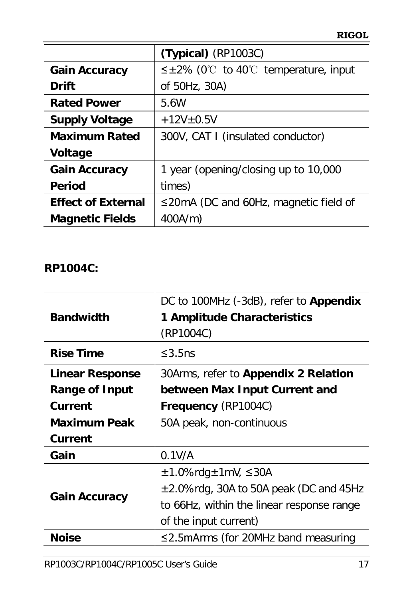|                           | $(Typical)$ (RP1003C)                          |  |
|---------------------------|------------------------------------------------|--|
| <b>Gain Accuracy</b>      | $\leq \pm 2\%$ (0°C to 40°C temperature, input |  |
| Drift                     | of 50Hz, 30A)                                  |  |
| <b>Rated Power</b>        | 5.6W                                           |  |
| <b>Supply Voltage</b>     | $+12V$ ±0.5V                                   |  |
| <b>Maximum Rated</b>      | 300V, CAT I (insulated conductor)              |  |
| <b>Voltage</b>            |                                                |  |
| <b>Gain Accuracy</b>      | 1 year (opening/closing up to 10,000           |  |
| <b>Period</b>             | times)                                         |  |
| <b>Effect of External</b> | $\leq$ 20mA (DC and 60Hz, magnetic field of    |  |
| <b>Magnetic Fields</b>    | 400A/m)                                        |  |

#### **RP1004C:**

| <b>Bandwidth</b>       | DC to 100MHz (-3dB), refer to Appendix<br>1 Amplitude Characteristics<br>(RP1004C) |  |
|------------------------|------------------------------------------------------------------------------------|--|
| <b>Rise Time</b>       | ≤3.5 $ns$                                                                          |  |
| <b>Linear Response</b> | 30Arms, refer to Appendix 2 Relation                                               |  |
| Range of Input         | between Max Input Current and                                                      |  |
| Current                | Frequency (RP1004C)                                                                |  |
| <b>Maximum Peak</b>    | 50A peak, non-continuous                                                           |  |
| Current                |                                                                                    |  |
| Gain                   | 0.1V/A                                                                             |  |
|                        | $\pm 1.0\%$ rdg $\pm 1$ mV, $\leq 30$ A                                            |  |
|                        | $\pm$ 2.0%rdg, 30A to 50A peak (DC and 45Hz                                        |  |
| <b>Gain Accuracy</b>   | to 66Hz, within the linear response range                                          |  |
|                        | of the input current)                                                              |  |
| Noise                  | $\leq$ 2.5mArms (for 20MHz band measuring                                          |  |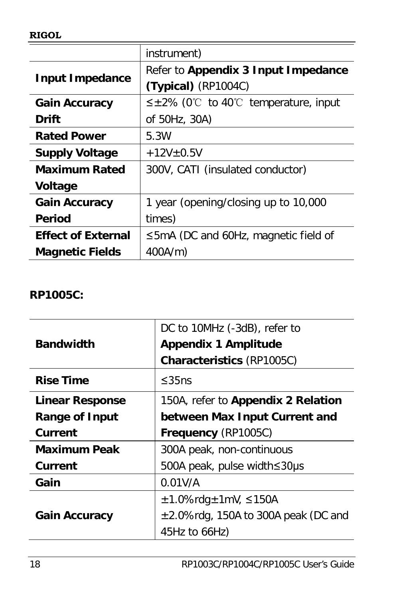|                           | instrument)                                    |  |
|---------------------------|------------------------------------------------|--|
|                           | Refer to Appendix 3 Input Impedance            |  |
| <b>Input Impedance</b>    | $(Typical)$ (RP1004C)                          |  |
| <b>Gain Accuracy</b>      | $\leq \pm 2\%$ (0°C to 40°C temperature, input |  |
| Drift                     | of 50Hz, 30A)                                  |  |
| <b>Rated Power</b>        | 5.3W                                           |  |
| <b>Supply Voltage</b>     | $+12V + 0.5V$                                  |  |
| <b>Maximum Rated</b>      | 300V, CATI (insulated conductor)               |  |
| <b>Voltage</b>            |                                                |  |
| <b>Gain Accuracy</b>      | 1 year (opening/closing up to 10,000           |  |
| Period                    | times)                                         |  |
| <b>Effect of External</b> | $\leq$ 5mA (DC and 60Hz, magnetic field of     |  |
| <b>Magnetic Fields</b>    | 400A/m)                                        |  |

#### **RP1005C:**

|                        | DC to 10MHz (-3dB), refer to             |  |
|------------------------|------------------------------------------|--|
| <b>Bandwidth</b>       | <b>Appendix 1 Amplitude</b>              |  |
|                        | <b>Characteristics (RP1005C)</b>         |  |
| <b>Rise Time</b>       | $\leq$ 35ns                              |  |
| <b>Linear Response</b> | 150A, refer to Appendix 2 Relation       |  |
| <b>Range of Input</b>  | between Max Input Current and            |  |
| Current                | Frequency (RP1005C)                      |  |
| <b>Maximum Peak</b>    | 300A peak, non-continuous                |  |
| Current                | 500A peak, pulse width≤30µs              |  |
| Gain                   | 0.01V/A                                  |  |
|                        | $\pm$ 1.0%rdg $\pm$ 1mV, $\leq$ 150A     |  |
| <b>Gain Accuracy</b>   | $\pm$ 2.0%rdg, 150A to 300A peak (DC and |  |
|                        | 45Hz to 66Hz)                            |  |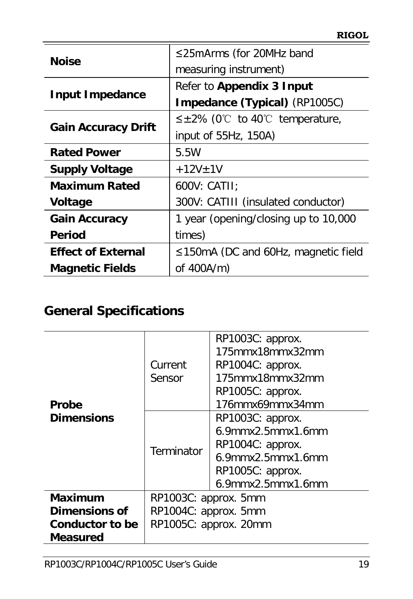| <b>Noise</b>               | ≤25mArms (for 20MHz band                  |
|----------------------------|-------------------------------------------|
|                            | measuring instrument)                     |
|                            | Refer to Appendix 3 Input                 |
| <b>Input Impedance</b>     | <b>Impedance (Typical)</b> (RP1005C)      |
|                            | $\leq \pm 2\%$ (0°C to 40°C temperature,  |
| <b>Gain Accuracy Drift</b> | input of 55Hz, 150A)                      |
| <b>Rated Power</b>         | 5.5W                                      |
| <b>Supply Voltage</b>      | $+12V+1V$                                 |
| <b>Maximum Rated</b>       | 600V: CATII;                              |
| <b>Voltage</b>             | 300V: CATIII (insulated conductor)        |
| <b>Gain Accuracy</b>       | 1 year (opening/closing up to 10,000      |
| <b>Period</b>              | times)                                    |
| <b>Effect of External</b>  | $\leq$ 150mA (DC and 60Hz, magnetic field |
| <b>Magnetic Fields</b>     | of 400A/m)                                |

# <span id="page-30-0"></span>**General Specifications**

|                                   |                       | RP1003C: approx.             |
|-----------------------------------|-----------------------|------------------------------|
|                                   | Current<br>Sensor     | 175mmx18mmx32mm              |
|                                   |                       | RP1004C: approx.             |
|                                   |                       | 175mmx18mmx32mm              |
|                                   |                       | RP1005C: approx.             |
| <b>Probe</b><br><b>Dimensions</b> |                       | 176mmx69mmx34mm              |
|                                   | Terminator            | RP1003C: approx.             |
|                                   |                       | $6.9$ mmx $2.5$ mmx $1.6$ mm |
|                                   |                       | RP1004C: approx.             |
|                                   |                       | 6.9mmx2.5mmx1.6mm            |
|                                   |                       | RP1005C: approx.             |
|                                   |                       | 6.9mmx2.5mmx1.6mm            |
| <b>Maximum</b>                    | RP1003C: approx. 5mm  |                              |
| Dimensions of                     | RP1004C: approx. 5mm  |                              |
| <b>Conductor to be</b>            | RP1005C: approx. 20mm |                              |
| Measured                          |                       |                              |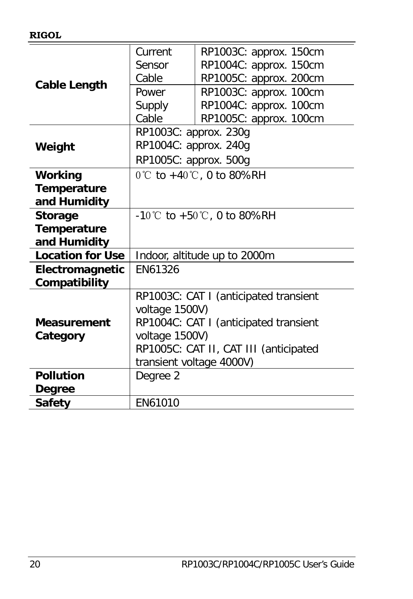|                         | Current                                        | RP1003C: approx. 150cm |  |
|-------------------------|------------------------------------------------|------------------------|--|
|                         | Sensor                                         | RP1004C: approx. 150cm |  |
|                         | Cable                                          | RP1005C: approx. 200cm |  |
| <b>Cable Length</b>     | Power                                          | RP1003C: approx. 100cm |  |
|                         | Supply                                         | RP1004C: approx. 100cm |  |
|                         | Cable                                          | RP1005C: approx. 100cm |  |
|                         | RP1003C: approx. 230g                          |                        |  |
| Weight                  | RP1004C: approx. 240g                          |                        |  |
|                         | RP1005C: approx. 500g                          |                        |  |
| <b>Working</b>          | $0^{\circ}$ C to +40 $^{\circ}$ C, 0 to 80%RH  |                        |  |
| Temperature             |                                                |                        |  |
| and Humidity            |                                                |                        |  |
| <b>Storage</b>          | $-10^{\circ}$ C to $+50^{\circ}$ C, 0 to 80%RH |                        |  |
| Temperature             |                                                |                        |  |
| and Humidity            |                                                |                        |  |
| <b>Location for Use</b> | Indoor, altitude up to 2000m                   |                        |  |
| Electromagnetic         | EN61326                                        |                        |  |
| Compatibility           |                                                |                        |  |
|                         | RP1003C: CAT I (anticipated transient          |                        |  |
|                         | voltage 1500V)                                 |                        |  |
| <b>Measurement</b>      | RP1004C: CAT I (anticipated transient          |                        |  |
| Category                | voltage 1500V)                                 |                        |  |
|                         | RP1005C: CAT II, CAT III (anticipated          |                        |  |
|                         | transient voltage 4000V)                       |                        |  |
| <b>Pollution</b>        | Degree 2                                       |                        |  |
| Degree                  |                                                |                        |  |
| <b>Safety</b>           | FN61010                                        |                        |  |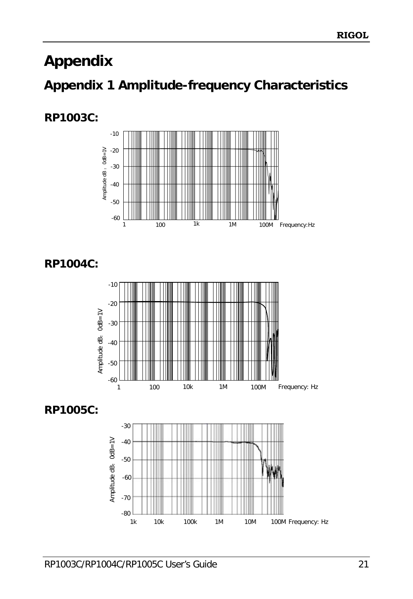# <span id="page-32-0"></span>**Appendix**

# <span id="page-32-1"></span>**Appendix 1 Amplitude-frequency Characteristics**

#### **RP1003C:**



**RP1004C:**





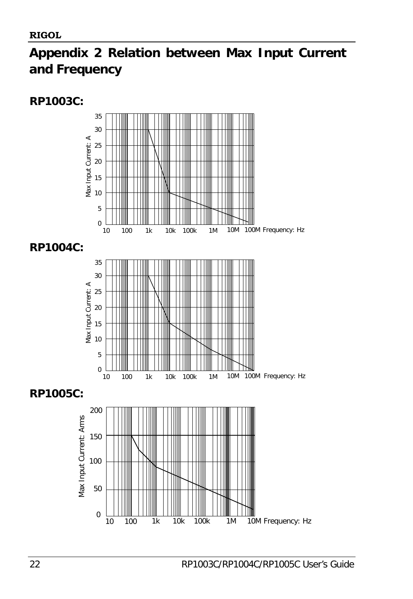# <span id="page-33-0"></span>**Appendix 2 Relation between Max Input Current and Frequency**

#### **RP1003C:**